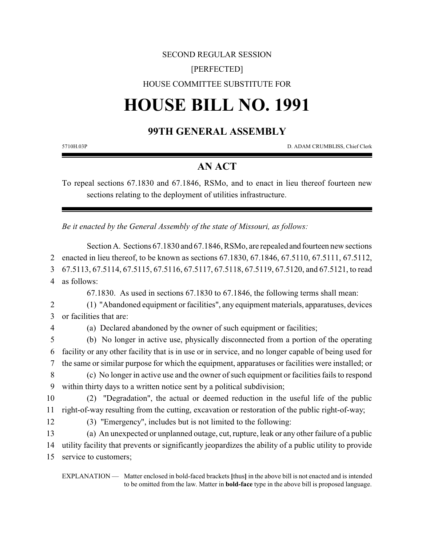### SECOND REGULAR SESSION

## [PERFECTED]

## HOUSE COMMITTEE SUBSTITUTE FOR

# **HOUSE BILL NO. 1991**

# **99TH GENERAL ASSEMBLY**

5710H.03P D. ADAM CRUMBLISS, Chief Clerk

# **AN ACT**

To repeal sections 67.1830 and 67.1846, RSMo, and to enact in lieu thereof fourteen new sections relating to the deployment of utilities infrastructure.

*Be it enacted by the General Assembly of the state of Missouri, as follows:*

Section A. Sections 67.1830 and 67.1846, RSMo, are repealed and fourteen new sections enacted in lieu thereof, to be known as sections 67.1830, 67.1846, 67.5110, 67.5111, 67.5112, 67.5113, 67.5114, 67.5115, 67.5116, 67.5117, 67.5118, 67.5119, 67.5120, and 67.5121, to read as follows:

67.1830. As used in sections 67.1830 to 67.1846, the following terms shall mean:

2 (1) "Abandoned equipment or facilities", any equipment materials, apparatuses, devices 3 or facilities that are:

4 (a) Declared abandoned by the owner of such equipment or facilities;

5 (b) No longer in active use, physically disconnected from a portion of the operating 6 facility or any other facility that is in use or in service, and no longer capable of being used for 7 the same or similar purpose for which the equipment, apparatuses or facilities were installed; or

8 (c) No longer in active use and the owner of such equipment or facilities fails to respond 9 within thirty days to a written notice sent by a political subdivision;

10 (2) "Degradation", the actual or deemed reduction in the useful life of the public 11 right-of-way resulting from the cutting, excavation or restoration of the public right-of-way;

12 (3) "Emergency", includes but is not limited to the following:

13 (a) An unexpected or unplanned outage, cut, rupture, leak or any other failure of a public 14 utility facility that prevents or significantly jeopardizes the ability of a public utility to provide 15 service to customers;

EXPLANATION — Matter enclosed in bold-faced brackets **[**thus**]** in the above bill is not enacted and is intended to be omitted from the law. Matter in **bold-face** type in the above bill is proposed language.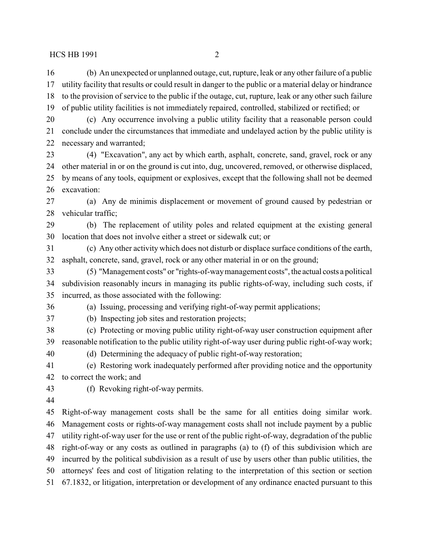(b) An unexpected or unplanned outage, cut, rupture, leak or any other failure of a public utility facility that results or could result in danger to the public or a material delay or hindrance to the provision of service to the public if the outage, cut, rupture, leak or any other such failure of public utility facilities is not immediately repaired, controlled, stabilized or rectified; or

 (c) Any occurrence involving a public utility facility that a reasonable person could conclude under the circumstances that immediate and undelayed action by the public utility is necessary and warranted;

 (4) "Excavation", any act by which earth, asphalt, concrete, sand, gravel, rock or any other material in or on the ground is cut into, dug, uncovered, removed, or otherwise displaced, by means of any tools, equipment or explosives, except that the following shall not be deemed excavation:

 (a) Any de minimis displacement or movement of ground caused by pedestrian or vehicular traffic;

 (b) The replacement of utility poles and related equipment at the existing general location that does not involve either a street or sidewalk cut; or

 (c) Any other activity which does not disturb or displace surface conditions of the earth, asphalt, concrete, sand, gravel, rock or any other material in or on the ground;

 (5) "Management costs" or "rights-of-waymanagement costs", the actual costs a political subdivision reasonably incurs in managing its public rights-of-way, including such costs, if incurred, as those associated with the following:

(a) Issuing, processing and verifying right-of-way permit applications;

(b) Inspecting job sites and restoration projects;

 (c) Protecting or moving public utility right-of-way user construction equipment after reasonable notification to the public utility right-of-way user during public right-of-way work;

(d) Determining the adequacy of public right-of-way restoration;

 (e) Restoring work inadequately performed after providing notice and the opportunity to correct the work; and

(f) Revoking right-of-way permits.

 Right-of-way management costs shall be the same for all entities doing similar work. Management costs or rights-of-way management costs shall not include payment by a public utility right-of-way user for the use or rent of the public right-of-way, degradation of the public right-of-way or any costs as outlined in paragraphs (a) to (f) of this subdivision which are incurred by the political subdivision as a result of use by users other than public utilities, the attorneys' fees and cost of litigation relating to the interpretation of this section or section 67.1832, or litigation, interpretation or development of any ordinance enacted pursuant to this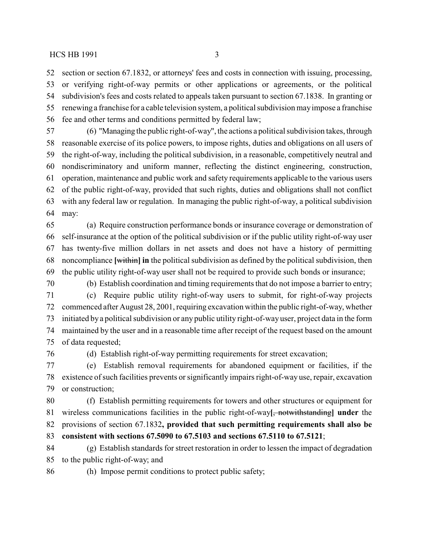section or section 67.1832, or attorneys' fees and costs in connection with issuing, processing, or verifying right-of-way permits or other applications or agreements, or the political subdivision's fees and costs related to appeals taken pursuant to section 67.1838. In granting or renewing a franchise for a cable television system, a political subdivision mayimpose a franchise fee and other terms and conditions permitted by federal law;

 (6) "Managing the public right-of-way", the actions a political subdivision takes, through reasonable exercise of its police powers, to impose rights, duties and obligations on all users of the right-of-way, including the political subdivision, in a reasonable, competitively neutral and nondiscriminatory and uniform manner, reflecting the distinct engineering, construction, operation, maintenance and public work and safety requirements applicable to the various users of the public right-of-way, provided that such rights, duties and obligations shall not conflict with any federal law or regulation. In managing the public right-of-way, a political subdivision may:

 (a) Require construction performance bonds or insurance coverage or demonstration of self-insurance at the option of the political subdivision or if the public utility right-of-way user has twenty-five million dollars in net assets and does not have a history of permitting noncompliance **[**within**] in** the political subdivision as defined by the political subdivision, then the public utility right-of-way user shall not be required to provide such bonds or insurance;

 (b) Establish coordination and timing requirements that do not impose a barrier to entry; (c) Require public utility right-of-way users to submit, for right-of-way projects commenced after August 28, 2001, requiring excavation within the public right-of-way, whether initiated by a political subdivision or any public utility right-of-way user, project data in the form maintained by the user and in a reasonable time after receipt of the request based on the amount of data requested;

(d) Establish right-of-way permitting requirements for street excavation;

 (e) Establish removal requirements for abandoned equipment or facilities, if the existence of such facilities prevents or significantly impairs right-of-way use, repair, excavation or construction;

 (f) Establish permitting requirements for towers and other structures or equipment for wireless communications facilities in the public right-of-way**[**, notwithstanding**] under** the provisions of section 67.1832**, provided that such permitting requirements shall also be consistent with sections 67.5090 to 67.5103 and sections 67.5110 to 67.5121**;

 (g) Establish standards for street restoration in order to lessen the impact of degradation to the public right-of-way; and

(h) Impose permit conditions to protect public safety;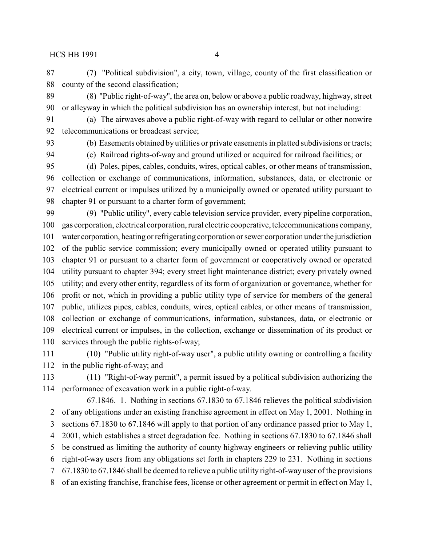(7) "Political subdivision", a city, town, village, county of the first classification or county of the second classification;

 (8) "Public right-of-way", the area on, below or above a public roadway, highway, street or alleyway in which the political subdivision has an ownership interest, but not including:

- (a) The airwaves above a public right-of-way with regard to cellular or other nonwire telecommunications or broadcast service;
- 

(b) Easements obtained by utilities or private easements in platted subdivisions or tracts;

(c) Railroad rights-of-way and ground utilized or acquired for railroad facilities; or

 (d) Poles, pipes, cables, conduits, wires, optical cables, or other means of transmission, collection or exchange of communications, information, substances, data, or electronic or electrical current or impulses utilized by a municipally owned or operated utility pursuant to chapter 91 or pursuant to a charter form of government;

 (9) "Public utility", every cable television service provider, every pipeline corporation, gas corporation, electrical corporation, rural electric cooperative, telecommunications company, water corporation, heating or refrigerating corporation or sewer corporation underthe jurisdiction of the public service commission; every municipally owned or operated utility pursuant to chapter 91 or pursuant to a charter form of government or cooperatively owned or operated utility pursuant to chapter 394; every street light maintenance district; every privately owned utility; and every other entity, regardless of its form of organization or governance, whether for profit or not, which in providing a public utility type of service for members of the general public, utilizes pipes, cables, conduits, wires, optical cables, or other means of transmission, collection or exchange of communications, information, substances, data, or electronic or electrical current or impulses, in the collection, exchange or dissemination of its product or services through the public rights-of-way;

 (10) "Public utility right-of-way user", a public utility owning or controlling a facility in the public right-of-way; and

 (11) "Right-of-way permit", a permit issued by a political subdivision authorizing the performance of excavation work in a public right-of-way.

67.1846. 1. Nothing in sections 67.1830 to 67.1846 relieves the political subdivision of any obligations under an existing franchise agreement in effect on May 1, 2001. Nothing in sections 67.1830 to 67.1846 will apply to that portion of any ordinance passed prior to May 1, 2001, which establishes a street degradation fee. Nothing in sections 67.1830 to 67.1846 shall be construed as limiting the authority of county highway engineers or relieving public utility right-of-way users from any obligations set forth in chapters 229 to 231. Nothing in sections 67.1830 to 67.1846 shall be deemed to relieve a public utility right-of-way user of the provisions of an existing franchise, franchise fees, license or other agreement or permit in effect on May 1,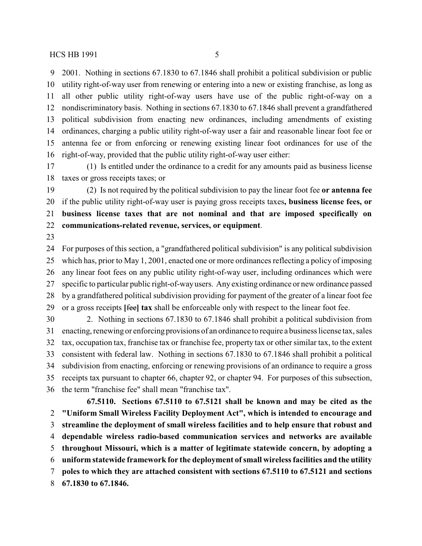2001. Nothing in sections 67.1830 to 67.1846 shall prohibit a political subdivision or public utility right-of-way user from renewing or entering into a new or existing franchise, as long as all other public utility right-of-way users have use of the public right-of-way on a nondiscriminatory basis. Nothing in sections 67.1830 to 67.1846 shall prevent a grandfathered political subdivision from enacting new ordinances, including amendments of existing ordinances, charging a public utility right-of-way user a fair and reasonable linear foot fee or antenna fee or from enforcing or renewing existing linear foot ordinances for use of the right-of-way, provided that the public utility right-of-way user either:

 (1) Is entitled under the ordinance to a credit for any amounts paid as business license taxes or gross receipts taxes; or

 (2) Is not required by the political subdivision to pay the linear foot fee **or antenna fee** if the public utility right-of-way user is paying gross receipts taxes**, business license fees, or business license taxes that are not nominal and that are imposed specifically on communications-related revenue, services, or equipment**.

 For purposes of this section, a "grandfathered political subdivision" is any political subdivision which has, prior to May 1, 2001, enacted one or more ordinances reflecting a policy of imposing any linear foot fees on any public utility right-of-way user, including ordinances which were specific to particular public right-of-wayusers. Any existing ordinance or new ordinance passed by a grandfathered political subdivision providing for payment of the greater of a linear foot fee or a gross receipts **[**fee**] tax** shall be enforceable only with respect to the linear foot fee.

 2. Nothing in sections 67.1830 to 67.1846 shall prohibit a political subdivision from enacting, renewing or enforcing provisions of an ordinance to require a business license tax, sales tax, occupation tax, franchise tax or franchise fee, property tax or other similar tax, to the extent consistent with federal law. Nothing in sections 67.1830 to 67.1846 shall prohibit a political subdivision from enacting, enforcing or renewing provisions of an ordinance to require a gross receipts tax pursuant to chapter 66, chapter 92, or chapter 94. For purposes of this subsection, the term "franchise fee" shall mean "franchise tax".

**67.5110. Sections 67.5110 to 67.5121 shall be known and may be cited as the "Uniform Small Wireless Facility Deployment Act", which is intended to encourage and streamline the deployment of small wireless facilities and to help ensure that robust and dependable wireless radio-based communication services and networks are available throughout Missouri, which is a matter of legitimate statewide concern, by adopting a uniform statewide framework for the deployment ofsmall wireless facilities and the utility poles to which they are attached consistent with sections 67.5110 to 67.5121 and sections 67.1830 to 67.1846.**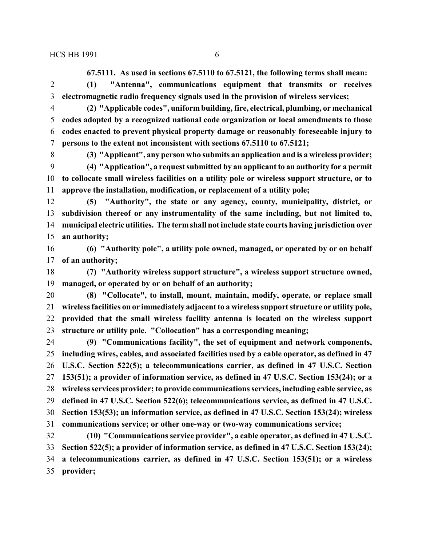**67.5111. As used in sections 67.5110 to 67.5121, the following terms shall mean:**

 **(1) "Antenna", communications equipment that transmits or receives electromagnetic radio frequency signals used in the provision of wireless services;**

- **(2) "Applicable codes", uniform building, fire, electrical, plumbing, or mechanical codes adopted by a recognized national code organization or local amendments to those codes enacted to prevent physical property damage or reasonably foreseeable injury to persons to the extent not inconsistent with sections 67.5110 to 67.5121;**
- 

 **(3) "Applicant", any person who submits an application and is a wireless provider; (4) "Application", a request submitted by an applicant to an authority for a permit to collocate small wireless facilities on a utility pole or wireless support structure, or to approve the installation, modification, or replacement of a utility pole;**

 **(5) "Authority", the state or any agency, county, municipality, district, or subdivision thereof or any instrumentality of the same including, but not limited to, municipal electric utilities. The term shall not include state courts having jurisdiction over an authority;**

 **(6) "Authority pole", a utility pole owned, managed, or operated by or on behalf of an authority;**

 **(7) "Authority wireless support structure", a wireless support structure owned, managed, or operated by or on behalf of an authority;**

- **(8) "Collocate", to install, mount, maintain, modify, operate, or replace small wireless facilities on or immediately adjacent to a wireless support structure or utility pole, provided that the small wireless facility antenna is located on the wireless support structure or utility pole. "Collocation" has a corresponding meaning;**
- **(9) "Communications facility", the set of equipment and network components, including wires, cables, and associated facilities used by a cable operator, as defined in 47 U.S.C. Section 522(5); a telecommunications carrier, as defined in 47 U.S.C. Section 153(51); a provider of information service, as defined in 47 U.S.C. Section 153(24); or a wireless services provider; to provide communications services, including cable service, as defined in 47 U.S.C. Section 522(6); telecommunications service, as defined in 47 U.S.C. Section 153(53); an information service, as defined in 47 U.S.C. Section 153(24); wireless communications service; or other one-way or two-way communications service; (10) "Communications service provider", a cable operator, as defined in 47 U.S.C.**

 **Section 522(5); a provider of information service, as defined in 47 U.S.C. Section 153(24); a telecommunications carrier, as defined in 47 U.S.C. Section 153(51); or a wireless provider;**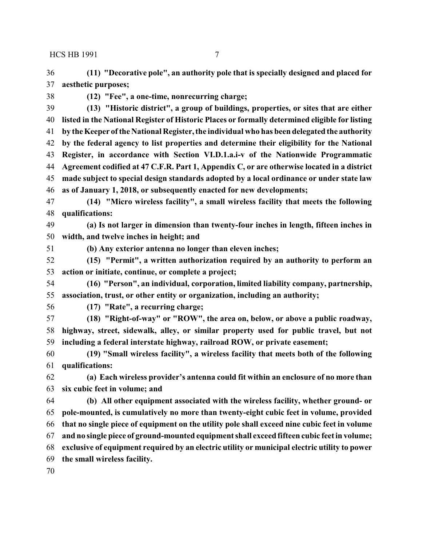**(11) "Decorative pole", an authority pole that is specially designed and placed for aesthetic purposes;**

**(12) "Fee", a one-time, nonrecurring charge;**

 **(13) "Historic district", a group of buildings, properties, or sites that are either listed in the National Register of Historic Places or formally determined eligible for listing by theKeeper ofthe National Register, the individual who has been delegated the authority by the federal agency to list properties and determine their eligibility for the National Register, in accordance with Section VI.D.1.a.i-v of the Nationwide Programmatic Agreement codified at 47 C.F.R. Part 1, Appendix C, or are otherwise located in a district made subject to special design standards adopted by a local ordinance or under state law as of January 1, 2018, or subsequently enacted for new developments;**

 **(14) "Micro wireless facility", a small wireless facility that meets the following qualifications:**

 **(a) Is not larger in dimension than twenty-four inches in length, fifteen inches in width, and twelve inches in height; and**

**(b) Any exterior antenna no longer than eleven inches;**

 **(15) "Permit", a written authorization required by an authority to perform an action or initiate, continue, or complete a project;**

 **(16) "Person", an individual, corporation, limited liability company, partnership, association, trust, or other entity or organization, including an authority;**

**(17) "Rate", a recurring charge;**

 **(18) "Right-of-way" or "ROW", the area on, below, or above a public roadway, highway, street, sidewalk, alley, or similar property used for public travel, but not including a federal interstate highway, railroad ROW, or private easement;**

 **(19) "Small wireless facility", a wireless facility that meets both of the following qualifications:**

 **(a) Each wireless provider's antenna could fit within an enclosure of no more than six cubic feet in volume; and**

 **(b) All other equipment associated with the wireless facility, whether ground- or pole-mounted, is cumulatively no more than twenty-eight cubic feet in volume, provided that no single piece of equipment on the utility pole shall exceed nine cubic feet in volume and no single piece of ground-mounted equipment shall exceed fifteen cubic feet in volume; exclusive of equipment required by an electric utility or municipal electric utility to power the small wireless facility.**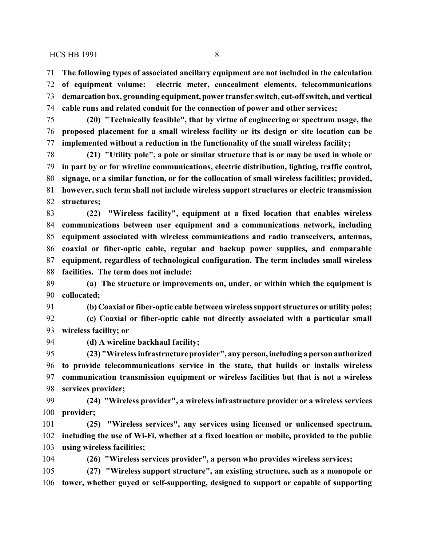**The following types of associated ancillary equipment are not included in the calculation**

 **of equipment volume: electric meter, concealment elements, telecommunications demarcation box, grounding equipment, power transfer switch, cut-offswitch, and vertical cable runs and related conduit for the connection of power and other services;**

 **(20) "Technically feasible", that by virtue of engineering or spectrum usage, the proposed placement for a small wireless facility or its design or site location can be implemented without a reduction in the functionality of the small wireless facility;**

 **(21) "Utility pole", a pole or similar structure that is or may be used in whole or in part by or for wireline communications, electric distribution, lighting, traffic control, signage, or a similar function, or for the collocation of small wireless facilities; provided, however, such term shall not include wireless support structures or electric transmission structures;**

 **(22) "Wireless facility", equipment at a fixed location that enables wireless communications between user equipment and a communications network, including equipment associated with wireless communications and radio transceivers, antennas, coaxial or fiber-optic cable, regular and backup power supplies, and comparable equipment, regardless of technological configuration. The term includes small wireless facilities. The term does not include:**

 **(a) The structure or improvements on, under, or within which the equipment is collocated;** 

 **(b) Coaxial or fiber-optic cable between wireless support structures or utility poles; (c) Coaxial or fiber-optic cable not directly associated with a particular small**

**wireless facility; or** 

**(d) A wireline backhaul facility;**

 **(23) "Wireless infrastructure provider", any person, including a person authorized to provide telecommunications service in the state, that builds or installs wireless communication transmission equipment or wireless facilities but that is not a wireless services provider;**

 **(24) "Wireless provider", a wireless infrastructure provider or a wireless services provider;**

 **(25) "Wireless services", any services using licensed or unlicensed spectrum, including the use of Wi-Fi, whether at a fixed location or mobile, provided to the public using wireless facilities;**

**(26) "Wireless services provider", a person who provides wireless services;**

 **(27) "Wireless support structure", an existing structure, such as a monopole or tower, whether guyed or self-supporting, designed to support or capable of supporting**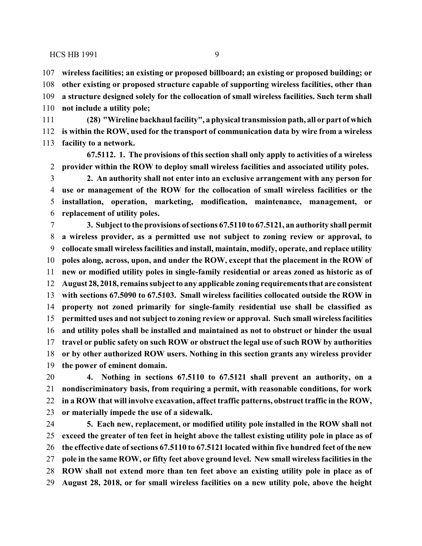**wireless facilities; an existing or proposed billboard; an existing or proposed building; or**

 **other existing or proposed structure capable of supporting wireless facilities, other than a structure designed solely for the collocation of small wireless facilities. Such term shall not include a utility pole;**

 **(28) "Wireline backhaul facility", a physical transmission path, all or part of which is within the ROW, used for the transport of communication data by wire from a wireless facility to a network.**

**67.5112. 1. The provisions of this section shall only apply to activities of a wireless provider within the ROW to deploy small wireless facilities and associated utility poles.**

 **2. An authority shall not enter into an exclusive arrangement with any person for use or management of the ROW for the collocation of small wireless facilities or the installation, operation, marketing, modification, maintenance, management, or replacement of utility poles.**

 **3. Subject to the provisions ofsections 67.5110 to 67.5121, an authority shall permit a wireless provider, as a permitted use not subject to zoning review or approval, to collocate small wireless facilities and install, maintain, modify, operate, and replace utility poles along, across, upon, and under the ROW, except that the placement in the ROW of new or modified utility poles in single-family residential or areas zoned as historic as of August 28, 2018, remains subject to any applicable zoning requirements that are consistent with sections 67.5090 to 67.5103. Small wireless facilities collocated outside the ROW in property not zoned primarily for single-family residential use shall be classified as permitted uses and not subject to zoning review or approval. Such small wireless facilities and utility poles shall be installed and maintained as not to obstruct or hinder the usual travel or public safety on such ROW or obstruct the legal use of such ROW by authorities or by other authorized ROW users. Nothing in this section grants any wireless provider the power of eminent domain.**

 **4. Nothing in sections 67.5110 to 67.5121 shall prevent an authority, on a nondiscriminatory basis, from requiring a permit, with reasonable conditions, for work in a ROW that will involve excavation, affect traffic patterns, obstruct traffic in the ROW, or materially impede the use of a sidewalk.**

 **5. Each new, replacement, or modified utility pole installed in the ROW shall not exceed the greater of ten feet in height above the tallest existing utility pole in place as of the effective date of sections 67.5110 to 67.5121 located within five hundred feet of the new pole in the same ROW, or fifty feet above ground level. New small wireless facilities in the ROW shall not extend more than ten feet above an existing utility pole in place as of August 28, 2018, or for small wireless facilities on a new utility pole, above the height**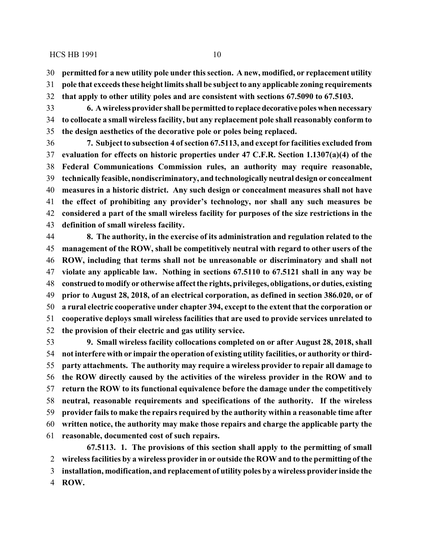**permitted for a new utility pole under this section. A new, modified, or replacement utility**

**pole that exceeds these height limits shall be subject to any applicable zoning requirements**

**that apply to other utility poles and are consistent with sections 67.5090 to 67.5103.**

 **6. A wireless provider shall be permitted to replacedecorativepoles when necessary to collocate a small wireless facility, but any replacement pole shall reasonably conform to the design aesthetics of the decorative pole or poles being replaced.**

 **7. Subject to subsection 4 ofsection 67.5113, and except for facilities excluded from evaluation for effects on historic properties under 47 C.F.R. Section 1.1307(a)(4) of the Federal Communications Commission rules, an authority may require reasonable, technically feasible, nondiscriminatory, and technologically neutral design or concealment measures in a historic district. Any such design or concealment measures shall not have the effect of prohibiting any provider's technology, nor shall any such measures be considered a part of the small wireless facility for purposes of the size restrictions in the definition of small wireless facility.**

 **8. The authority, in the exercise of its administration and regulation related to the management of the ROW, shall be competitively neutral with regard to other users of the ROW, including that terms shall not be unreasonable or discriminatory and shall not violate any applicable law. Nothing in sections 67.5110 to 67.5121 shall in any way be construed to modify or otherwise affect the rights, privileges, obligations, or duties, existing prior to August 28, 2018, of an electrical corporation, as defined in section 386.020, or of a rural electric cooperative under chapter 394, except to the extent that the corporation or cooperative deploys small wireless facilities that are used to provide services unrelated to the provision of their electric and gas utility service.**

 **9. Small wireless facility collocations completed on or after August 28, 2018, shall not interfere with or impair the operation of existing utility facilities, or authority or third- party attachments. The authority may require a wireless provider to repair all damage to the ROW directly caused by the activities of the wireless provider in the ROW and to return the ROW to its functional equivalence before the damage under the competitively neutral, reasonable requirements and specifications of the authority. If the wireless provider fails to make the repairs required by the authority within a reasonable time after written notice, the authority may make those repairs and charge the applicable party the reasonable, documented cost of such repairs.**

**67.5113. 1. The provisions of this section shall apply to the permitting of small wireless facilities by a wireless provider in or outside the ROW and to the permitting of the installation, modification, and replacement of utility poles by a wireless provider inside the ROW.**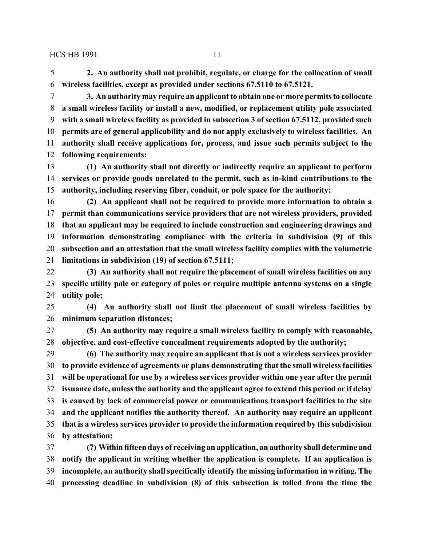**2. An authority shall not prohibit, regulate, or charge for the collocation of small wireless facilities, except as provided under sections 67.5110 to 67.5121.**

 **3. An authority may require an applicant to obtain one or more permits to collocate a small wireless facility or install a new, modified, or replacement utility pole associated with a small wireless facility as provided in subsection 3 of section 67.5112, provided such permits are of general applicability and do not apply exclusively to wireless facilities. An authority shall receive applications for, process, and issue such permits subject to the following requirements:**

 **(1) An authority shall not directly or indirectly require an applicant to perform services or provide goods unrelated to the permit, such as in-kind contributions to the authority, including reserving fiber, conduit, or pole space for the authority;**

 **(2) An applicant shall not be required to provide more information to obtain a permit than communications service providers that are not wireless providers, provided that an applicant may be required to include construction and engineering drawings and information demonstrating compliance with the criteria in subdivision (9) of this subsection and an attestation that the small wireless facility complies with the volumetric limitations in subdivision (19) of section 67.5111;**

 **(3) An authority shall not require the placement of small wireless facilities on any specific utility pole or category of poles or require multiple antenna systems on a single utility pole;**

 **(4) An authority shall not limit the placement of small wireless facilities by minimum separation distances;**

 **(5) An authority may require a small wireless facility to comply with reasonable, objective, and cost-effective concealment requirements adopted by the authority;**

 **(6) The authority may require an applicant that is not a wireless services provider to provide evidence of agreements or plans demonstrating that the small wireless facilities will be operational for use by a wireless services provider within one year after the permit issuance date, unless the authority and the applicant agree to extend this period or if delay is caused by lack of commercial power or communications transport facilities to the site and the applicant notifies the authority thereof. An authority may require an applicant that is a wireless services provider to provide the information required by this subdivision by attestation;**

 **(7) Withinfifteen days of receiving an application, an authority shall determine and notify the applicant in writing whether the application is complete. If an application is incomplete, an authority shall specifically identify the missing information in writing. The processing deadline in subdivision (8) of this subsection is tolled from the time the**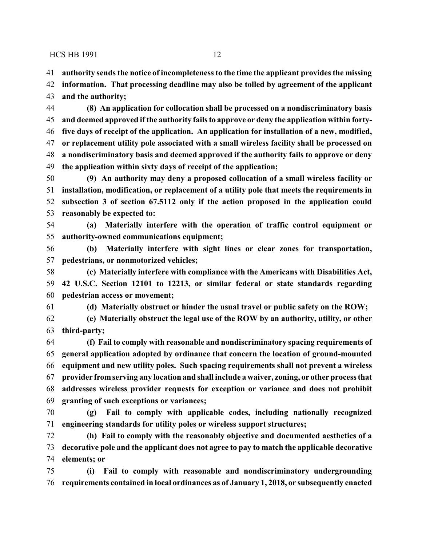**authority sends the notice of incompleteness to the time the applicant provides the missing**

 **information. That processing deadline may also be tolled by agreement of the applicant and the authority;**

 **(8) An application for collocation shall be processed on a nondiscriminatory basis and deemed approved if the authority fails to approve or deny the application within forty- five days of receipt of the application. An application for installation of a new, modified, or replacement utility pole associated with a small wireless facility shall be processed on a nondiscriminatory basis and deemed approved if the authority fails to approve or deny the application within sixty days of receipt of the application;**

 **(9) An authority may deny a proposed collocation of a small wireless facility or installation, modification, or replacement of a utility pole that meets the requirements in subsection 3 of section 67.5112 only if the action proposed in the application could reasonably be expected to:**

 **(a) Materially interfere with the operation of traffic control equipment or authority-owned communications equipment;**

 **(b) Materially interfere with sight lines or clear zones for transportation, pedestrians, or nonmotorized vehicles;**

 **(c) Materially interfere with compliance with the Americans with Disabilities Act, 42 U.S.C. Section 12101 to 12213, or similar federal or state standards regarding pedestrian access or movement;**

**(d) Materially obstruct or hinder the usual travel or public safety on the ROW;**

 **(e) Materially obstruct the legal use of the ROW by an authority, utility, or other third-party;**

 **(f) Fail to comply with reasonable and nondiscriminatory spacing requirements of general application adopted by ordinance that concern the location of ground-mounted equipment and new utility poles. Such spacing requirements shall not prevent a wireless provider fromserving any location and shall include a waiver, zoning, or other process that addresses wireless provider requests for exception or variance and does not prohibit granting of such exceptions or variances;**

 **(g) Fail to comply with applicable codes, including nationally recognized engineering standards for utility poles or wireless support structures;**

 **(h) Fail to comply with the reasonably objective and documented aesthetics of a decorative pole and the applicant does not agree to pay to match the applicable decorative elements; or**

 **(i) Fail to comply with reasonable and nondiscriminatory undergrounding requirements contained in local ordinances as of January 1, 2018, or subsequently enacted**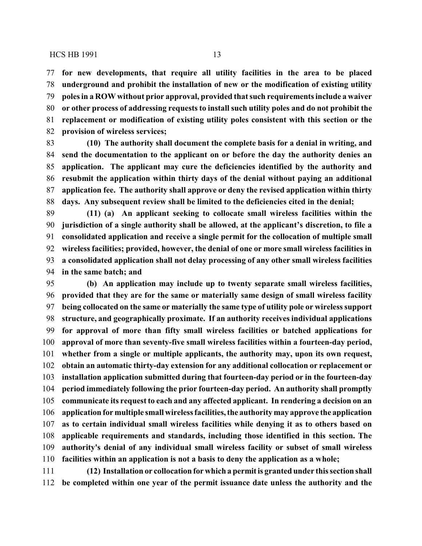**for new developments, that require all utility facilities in the area to be placed underground and prohibit the installation of new or the modification of existing utility poles in a ROW without prior approval, provided that such requirements include a waiver or other process of addressing requests to install such utility poles and do not prohibit the replacement or modification of existing utility poles consistent with this section or the provision of wireless services;**

 **(10) The authority shall document the complete basis for a denial in writing, and send the documentation to the applicant on or before the day the authority denies an application. The applicant may cure the deficiencies identified by the authority and resubmit the application within thirty days of the denial without paying an additional application fee. The authority shall approve or deny the revised application within thirty days. Any subsequent review shall be limited to the deficiencies cited in the denial;**

 **(11) (a) An applicant seeking to collocate small wireless facilities within the jurisdiction of a single authority shall be allowed, at the applicant's discretion, to file a consolidated application and receive a single permit for the collocation of multiple small wireless facilities; provided, however, the denial of one or more small wireless facilities in a consolidated application shall not delay processing of any other small wireless facilities in the same batch; and**

 **(b) An application may include up to twenty separate small wireless facilities, provided that they are for the same or materially same design of small wireless facility being collocated on the same or materially the same type of utility pole or wireless support structure, and geographically proximate. If an authority receives individual applications for approval of more than fifty small wireless facilities or batched applications for approval of more than seventy-five small wireless facilities within a fourteen-day period, whether from a single or multiple applicants, the authority may, upon its own request, obtain an automatic thirty-day extension for any additional collocation or replacement or installation application submitted during that fourteen-day period or in the fourteen-day period immediately following the prior fourteen-day period. An authority shall promptly communicate its request to each and any affected applicant. In rendering a decision on an application for multiple small wireless facilities, the authority may approve the application as to certain individual small wireless facilities while denying it as to others based on applicable requirements and standards, including those identified in this section. The authority's denial of any individual small wireless facility or subset of small wireless facilities within an application is not a basis to deny the application as a whole;**

 **(12) Installation or collocation for which a permit is granted under this section shall be completed within one year of the permit issuance date unless the authority and the**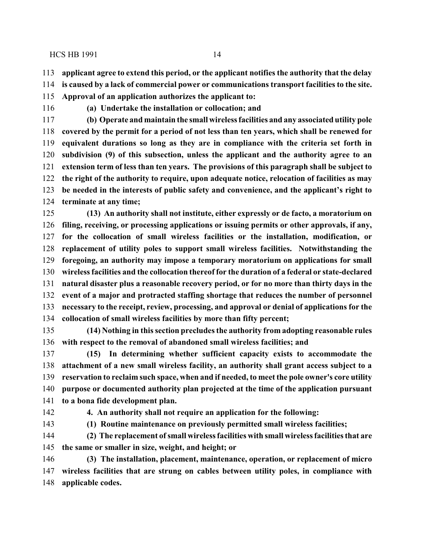**applicant agree to extend this period, or the applicant notifies the authority that the delay**

- **is caused by a lack of commercial power or communications transport facilities to the site.**
- **Approval of an application authorizes the applicant to:**
- 

**(a) Undertake the installation or collocation; and**

 **(b) Operate and maintain the small wireless facilities and any associated utility pole covered by the permit for a period of not less than ten years, which shall be renewed for equivalent durations so long as they are in compliance with the criteria set forth in subdivision (9) of this subsection, unless the applicant and the authority agree to an extension term of less than ten years. The provisions of this paragraph shall be subject to the right of the authority to require, upon adequate notice, relocation of facilities as may be needed in the interests of public safety and convenience, and the applicant's right to terminate at any time;**

 **(13) An authority shall not institute, either expressly or de facto, a moratorium on filing, receiving, or processing applications or issuing permits or other approvals, if any, for the collocation of small wireless facilities or the installation, modification, or replacement of utility poles to support small wireless facilities. Notwithstanding the foregoing, an authority may impose a temporary moratorium on applications for small wireless facilities and the collocation thereof for the duration of a federal or state-declared natural disaster plus a reasonable recovery period, or for no more than thirty days in the event of a major and protracted staffing shortage that reduces the number of personnel necessary to the receipt, review, processing, and approval or denial of applications for the collocation of small wireless facilities by more than fifty percent;**

 **(14) Nothing in this section precludes the authority from adopting reasonable rules with respect to the removal of abandoned small wireless facilities; and**

 **(15) In determining whether sufficient capacity exists to accommodate the attachment of a new small wireless facility, an authority shall grant access subject to a reservation to reclaim such space, when and if needed, to meet the pole owner's core utility purpose or documented authority plan projected at the time of the application pursuant to a bona fide development plan.**

**4. An authority shall not require an application for the following:**

**(1) Routine maintenance on previously permitted small wireless facilities;**

 **(2) The replacement ofsmall wireless facilities with small wireless facilities that are the same or smaller in size, weight, and height; or**

 **(3) The installation, placement, maintenance, operation, or replacement of micro wireless facilities that are strung on cables between utility poles, in compliance with applicable codes.**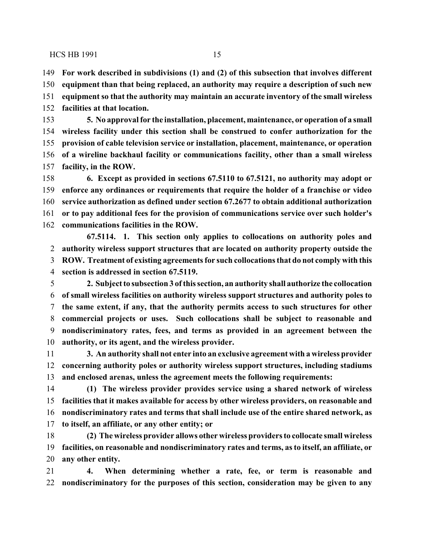**For work described in subdivisions (1) and (2) of this subsection that involves different equipment than that being replaced, an authority may require a description of such new equipment so that the authority may maintain an accurate inventory of the small wireless facilities at that location.**

 **5. No approval for the installation, placement, maintenance, or operation of a small wireless facility under this section shall be construed to confer authorization for the provision of cable television service or installation, placement, maintenance, or operation of a wireline backhaul facility or communications facility, other than a small wireless facility, in the ROW.**

 **6. Except as provided in sections 67.5110 to 67.5121, no authority may adopt or enforce any ordinances or requirements that require the holder of a franchise or video service authorization as defined under section 67.2677 to obtain additional authorization or to pay additional fees for the provision of communications service over such holder's communications facilities in the ROW.**

**67.5114. 1. This section only applies to collocations on authority poles and authority wireless support structures that are located on authority property outside the ROW. Treatment of existing agreements for such collocations that do not comply with this section is addressed in section 67.5119.**

 **2. Subject to subsection 3 ofthis section, an authority shall authorize the collocation of small wireless facilities on authority wireless support structures and authority poles to the same extent, if any, that the authority permits access to such structures for other commercial projects or uses. Such collocations shall be subject to reasonable and nondiscriminatory rates, fees, and terms as provided in an agreement between the authority, or its agent, and the wireless provider.**

 **3. An authority shall not enter into an exclusive agreement with a wireless provider concerning authority poles or authority wireless support structures, including stadiums and enclosed arenas, unless the agreement meets the following requirements:**

 **(1) The wireless provider provides service using a shared network of wireless facilities that it makes available for access by other wireless providers, on reasonable and nondiscriminatory rates and terms that shall include use of the entire shared network, as to itself, an affiliate, or any other entity; or**

 **(2) The wireless provider allows other wireless providers to collocate small wireless facilities, on reasonable and nondiscriminatory rates and terms, as to itself, an affiliate, or any other entity.**

 **4. When determining whether a rate, fee, or term is reasonable and nondiscriminatory for the purposes of this section, consideration may be given to any**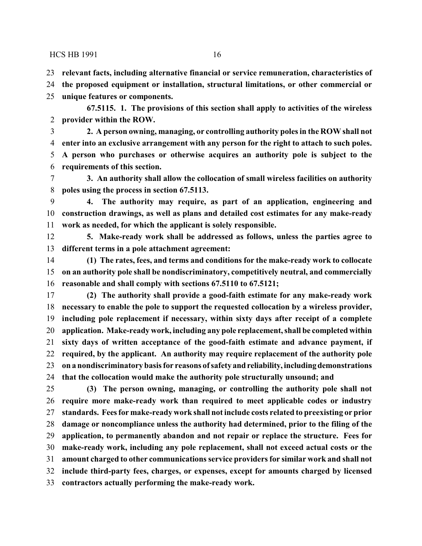**relevant facts, including alternative financial or service remuneration, characteristics of**

**the proposed equipment or installation, structural limitations, or other commercial or**

**unique features or components.**

**67.5115. 1. The provisions of this section shall apply to activities of the wireless provider within the ROW.**

 **2. A person owning, managing, or controlling authority poles in the ROW shall not enter into an exclusive arrangement with any person for the right to attach to such poles. A person who purchases or otherwise acquires an authority pole is subject to the requirements of this section.**

 **3. An authority shall allow the collocation of small wireless facilities on authority poles using the process in section 67.5113.**

 **4. The authority may require, as part of an application, engineering and construction drawings, as well as plans and detailed cost estimates for any make-ready work as needed, for which the applicant is solely responsible.**

 **5. Make-ready work shall be addressed as follows, unless the parties agree to different terms in a pole attachment agreement:**

 **(1) The rates, fees, and terms and conditions for the make-ready work to collocate on an authority pole shall be nondiscriminatory, competitively neutral, and commercially reasonable and shall comply with sections 67.5110 to 67.5121;**

 **(2) The authority shall provide a good-faith estimate for any make-ready work necessary to enable the pole to support the requested collocation by a wireless provider, including pole replacement if necessary, within sixty days after receipt of a complete application. Make-ready work, including any pole replacement, shall be completed within sixty days of written acceptance of the good-faith estimate and advance payment, if required, by the applicant. An authority may require replacement of the authority pole on a nondiscriminatory basis for reasons ofsafety and reliability, includingdemonstrations that the collocation would make the authority pole structurally unsound; and**

 **(3) The person owning, managing, or controlling the authority pole shall not require more make-ready work than required to meet applicable codes or industry standards. Fees for make-ready work shall not include costs related to preexisting or prior damage or noncompliance unless the authority had determined, prior to the filing of the application, to permanently abandon and not repair or replace the structure. Fees for make-ready work, including any pole replacement, shall not exceed actual costs or the amount charged to other communications service providers for similar work and shall not include third-party fees, charges, or expenses, except for amounts charged by licensed contractors actually performing the make-ready work.**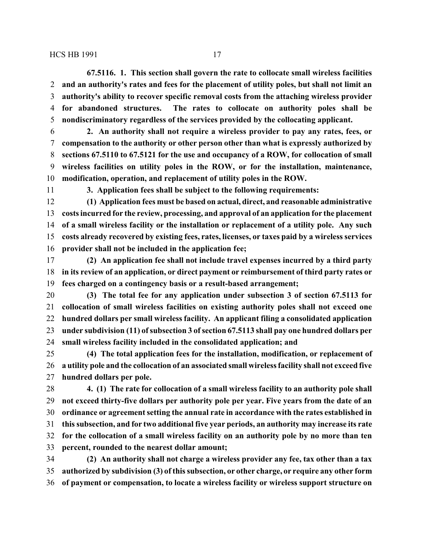**67.5116. 1. This section shall govern the rate to collocate small wireless facilities and an authority's rates and fees for the placement of utility poles, but shall not limit an authority's ability to recover specific removal costs from the attaching wireless provider for abandoned structures. The rates to collocate on authority poles shall be nondiscriminatory regardless of the services provided by the collocating applicant.**

 **2. An authority shall not require a wireless provider to pay any rates, fees, or compensation to the authority or other person other than what is expressly authorized by sections 67.5110 to 67.5121 for the use and occupancy of a ROW, for collocation of small wireless facilities on utility poles in the ROW, or for the installation, maintenance, modification, operation, and replacement of utility poles in the ROW.**

**3. Application fees shall be subject to the following requirements:**

 **(1) Application fees must be based on actual, direct, and reasonable administrative costs incurred for the review, processing, and approval of an application for the placement of a small wireless facility or the installation or replacement of a utility pole. Any such costs already recovered by existing fees, rates, licenses, or taxes paid by a wireless services provider shall not be included in the application fee;**

 **(2) An application fee shall not include travel expenses incurred by a third party in its review of an application, or direct payment or reimbursement of third party rates or fees charged on a contingency basis or a result-based arrangement;**

 **(3) The total fee for any application under subsection 3 of section 67.5113 for collocation of small wireless facilities on existing authority poles shall not exceed one hundred dollars per small wireless facility. An applicant filing a consolidated application under subdivision (11) ofsubsection 3 ofsection 67.5113 shall pay one hundred dollars per small wireless facility included in the consolidated application; and**

 **(4) The total application fees for the installation, modification, or replacement of a utility pole and the collocation of an associated small wireless facility shall not exceed five hundred dollars per pole.**

 **4. (1) The rate for collocation of a small wireless facility to an authority pole shall not exceed thirty-five dollars per authority pole per year. Five years from the date of an ordinance or agreement setting the annual rate in accordance with the rates established in this subsection, and for two additional five year periods, an authority may increase its rate for the collocation of a small wireless facility on an authority pole by no more than ten percent, rounded to the nearest dollar amount;**

 **(2) An authority shall not charge a wireless provider any fee, tax other than a tax authorized by subdivision (3) of this subsection, or other charge, or require any other form of payment or compensation, to locate a wireless facility or wireless support structure on**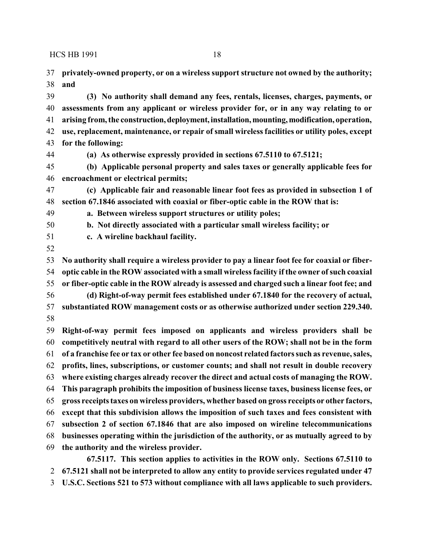**privately-owned property, or on a wireless support structure not owned by the authority; and**

 **(3) No authority shall demand any fees, rentals, licenses, charges, payments, or assessments from any applicant or wireless provider for, or in any way relating to or arising from, the construction,deployment, installation, mounting, modification, operation, use, replacement, maintenance, or repair of small wireless facilities or utility poles, except for the following:**

**(a) As otherwise expressly provided in sections 67.5110 to 67.5121;**

 **(b) Applicable personal property and sales taxes or generally applicable fees for encroachment or electrical permits;** 

 **(c) Applicable fair and reasonable linear foot fees as provided in subsection 1 of section 67.1846 associated with coaxial or fiber-optic cable in the ROW that is:** 

**a. Between wireless support structures or utility poles;** 

**b. Not directly associated with a particular small wireless facility; or** 

**c. A wireline backhaul facility.** 

 **No authority shall require a wireless provider to pay a linear foot fee for coaxial or fiber- optic cable in the ROW associated with a small wireless facility if the owner ofsuch coaxial or fiber-optic cable in the ROW already is assessed and charged such a linear foot fee; and (d) Right-of-way permit fees established under 67.1840 for the recovery of actual, substantiated ROW management costs or as otherwise authorized under section 229.340.**

 **Right-of-way permit fees imposed on applicants and wireless providers shall be competitively neutral with regard to all other users of the ROW; shall not be in the form of a franchise fee or tax or other fee based on noncost related factors such as revenue, sales, profits, lines, subscriptions, or customer counts; and shall not result in double recovery where existing charges already recover the direct and actual costs of managing the ROW. This paragraph prohibits the imposition of business license taxes, business license fees, or gross receipts taxes on wireless providers, whether based on gross receipts or other factors, except that this subdivision allows the imposition of such taxes and fees consistent with subsection 2 of section 67.1846 that are also imposed on wireline telecommunications businesses operating within the jurisdiction of the authority, or as mutually agreed to by the authority and the wireless provider. 67.5117. This section applies to activities in the ROW only. Sections 67.5110 to**

**67.5121 shall not be interpreted to allow any entity to provide services regulated under 47**

**U.S.C. Sections 521 to 573 without compliance with all laws applicable to such providers.**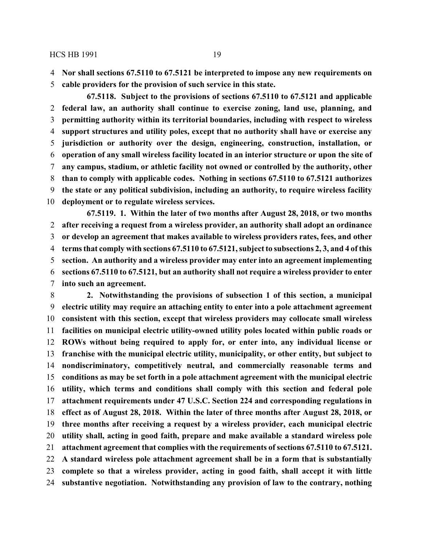**Nor shall sections 67.5110 to 67.5121 be interpreted to impose any new requirements on**

**cable providers for the provision of such service in this state.**

**67.5118. Subject to the provisions of sections 67.5110 to 67.5121 and applicable federal law, an authority shall continue to exercise zoning, land use, planning, and permitting authority within its territorial boundaries, including with respect to wireless support structures and utility poles, except that no authority shall have or exercise any jurisdiction or authority over the design, engineering, construction, installation, or operation of any small wireless facility located in an interior structure or upon the site of any campus, stadium, or athletic facility not owned or controlled by the authority, other than to comply with applicable codes. Nothing in sections 67.5110 to 67.5121 authorizes the state or any political subdivision, including an authority, to require wireless facility deployment or to regulate wireless services.**

**67.5119. 1. Within the later of two months after August 28, 2018, or two months after receiving a request from a wireless provider, an authority shall adopt an ordinance or develop an agreement that makes available to wireless providers rates, fees, and other terms that comply with sections 67.5110 to 67.5121, subject to subsections 2, 3, and 4 of this section. An authority and a wireless provider may enter into an agreement implementing sections 67.5110 to 67.5121, but an authority shall not require a wireless provider to enter into such an agreement.**

 **2. Notwithstanding the provisions of subsection 1 of this section, a municipal electric utility may require an attaching entity to enter into a pole attachment agreement consistent with this section, except that wireless providers may collocate small wireless facilities on municipal electric utility-owned utility poles located within public roads or ROWs without being required to apply for, or enter into, any individual license or franchise with the municipal electric utility, municipality, or other entity, but subject to nondiscriminatory, competitively neutral, and commercially reasonable terms and conditions as may be set forth in a pole attachment agreement with the municipal electric utility, which terms and conditions shall comply with this section and federal pole attachment requirements under 47 U.S.C. Section 224 and corresponding regulations in effect as of August 28, 2018. Within the later of three months after August 28, 2018, or three months after receiving a request by a wireless provider, each municipal electric utility shall, acting in good faith, prepare and make available a standard wireless pole attachment agreement that complies with the requirements of sections 67.5110 to 67.5121. A standard wireless pole attachment agreement shall be in a form that is substantially complete so that a wireless provider, acting in good faith, shall accept it with little substantive negotiation. Notwithstanding any provision of law to the contrary, nothing**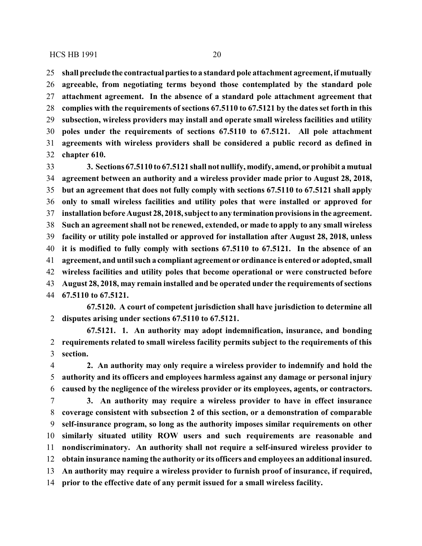**shall preclude the contractualpartiesto a standard pole attachment agreement, if mutually agreeable, from negotiating terms beyond those contemplated by the standard pole**

 **attachment agreement. In the absence of a standard pole attachment agreement that complies with the requirements of sections 67.5110 to 67.5121 by the dates set forth in this subsection, wireless providers may install and operate small wireless facilities and utility poles under the requirements of sections 67.5110 to 67.5121. All pole attachment agreements with wireless providers shall be considered a public record as defined in chapter 610.**

 **3. Sections 67.5110 to 67.5121 shall not nullify, modify, amend, or prohibit a mutual agreement between an authority and a wireless provider made prior to August 28, 2018, but an agreement that does not fully comply with sections 67.5110 to 67.5121 shall apply only to small wireless facilities and utility poles that were installed or approved for installation before August 28, 2018, subject to any termination provisions in the agreement. Such an agreement shall not be renewed, extended, or made to apply to any small wireless facility or utility pole installed or approved for installation after August 28, 2018, unless it is modified to fully comply with sections 67.5110 to 67.5121. In the absence of an agreement, and until such a compliant agreement or ordinance is entered or adopted, small wireless facilities and utility poles that become operational or were constructed before August 28, 2018, may remain installed and be operated under the requirements ofsections 67.5110 to 67.5121.**

**67.5120. A court of competent jurisdiction shall have jurisdiction to determine all disputes arising under sections 67.5110 to 67.5121.**

**67.5121. 1. An authority may adopt indemnification, insurance, and bonding requirements related to small wireless facility permits subject to the requirements of this section.**

 **2. An authority may only require a wireless provider to indemnify and hold the authority and its officers and employees harmless against any damage or personal injury caused by the negligence of the wireless provider or its employees, agents, or contractors.**

 **3. An authority may require a wireless provider to have in effect insurance coverage consistent with subsection 2 of this section, or a demonstration of comparable self-insurance program, so long as the authority imposes similar requirements on other similarly situated utility ROW users and such requirements are reasonable and nondiscriminatory. An authority shall not require a self-insured wireless provider to obtain insurance naming the authority or its officers and employees an additional insured. An authority may require a wireless provider to furnish proof of insurance, if required, prior to the effective date of any permit issued for a small wireless facility.**